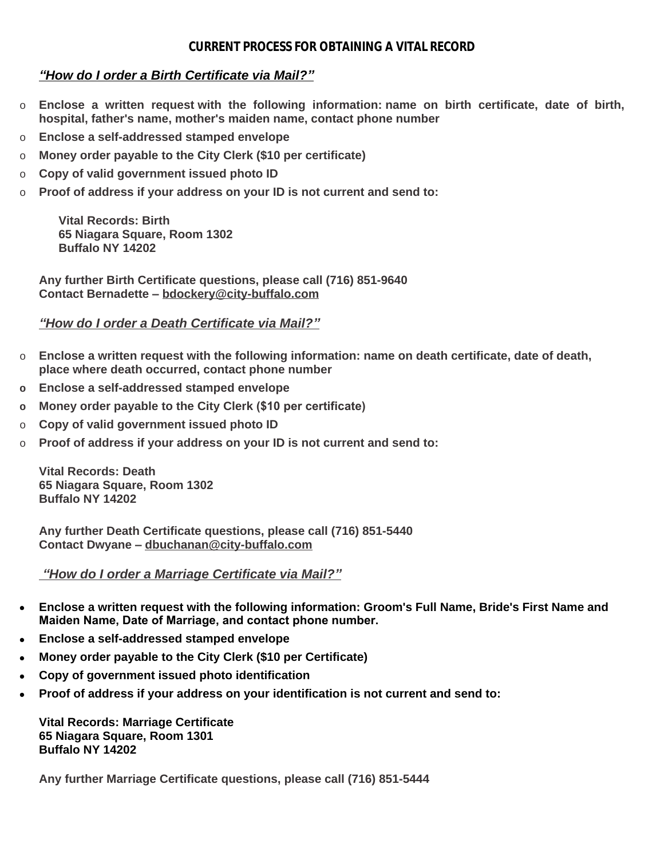## **CURRENT PROCESS FOR OBTAINING A VITAL RECORD**

## *"How do I order a Birth Certificate via Mail?"*

- o **Enclose a written request with the following information: name on birth certificate, date of birth, hospital, father's name, mother's maiden name, contact phone number**
- o **Enclose a self-addressed stamped envelope**
- o **Money order payable to the City Clerk (\$10 per certificate)**
- o **Copy of valid government issued photo ID**
- o **Proof of address if your address on your ID is not current and send to:**

**Vital Records: Birth 65 Niagara Square, Room 1302 Buffalo NY 14202**

**Any further Birth Certificate questions, please call (716) 851-9640 Contact Bernadette – bdockery@city-buffalo.com**

## *"How do I order a Death Certificate via Mail?"*

- o **Enclose a written request with the following information: name on death certificate, date of death, place where death occurred, contact phone number**
- **o Enclose a self-addressed stamped envelope**
- **o Money order payable to the City Clerk (\$10 per certificate)**
- o **Copy of valid government issued photo ID**
- Proof of address if your address on your ID is not current and send to:

**Vital Records: Death 65 Niagara Square, Room 1302 Buffalo NY 14202**

**Any further Death Certificate questions, please call (716) 851-5440 Contact Dwyane – dbuchanan@city-buffalo.com**

## *"How do I order a Marriage Certificate via Mail?"*

- **Enclose a written request with the following information: Groom's Full Name, Bride's First Name and Maiden Name, Date of Marriage, and contact phone number.**
- **Enclose a self-addressed stamped envelope**
- **Money order payable to the City Clerk (\$10 per Certificate)**
- **Copy of government issued photo identification**
- **Proof of address if your address on your identification is not current and send to:**

**Vital Records: Marriage Certificate 65 Niagara Square, Room 1301 Buffalo NY 14202**

**Any further Marriage Certificate questions, please call (716) 851-5444**